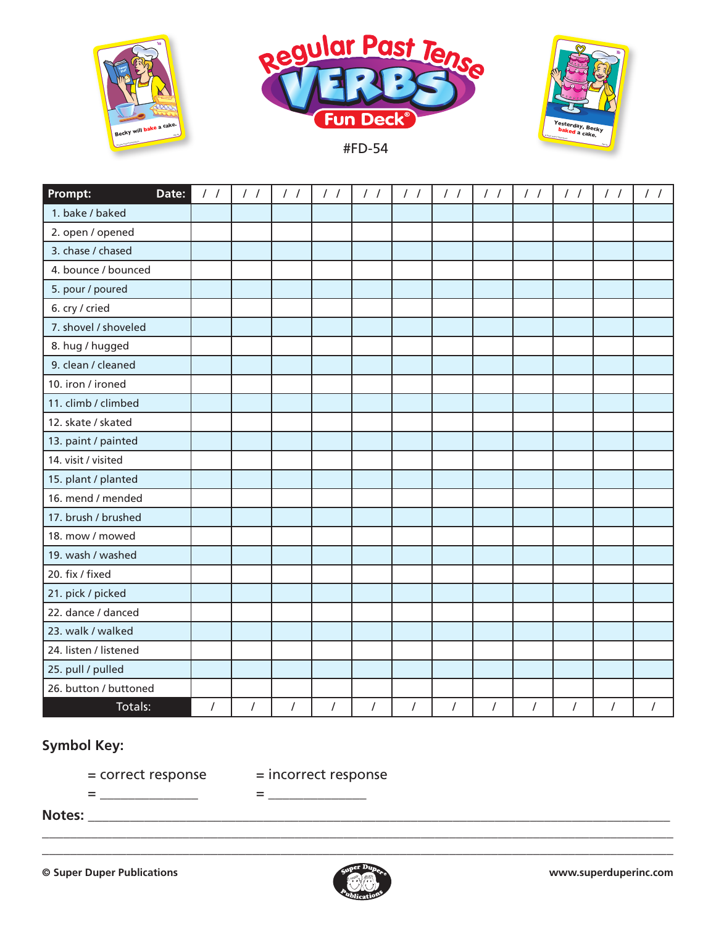



#FD-54



| Prompt:<br>Date:      | $\frac{1}{2}$ | $\frac{1}{2}$ | $\frac{1}{2}$  | $\frac{1}{2}$  | $\frac{1}{2}$ | $\frac{1}{2}$ | $\frac{1}{2}$ | $\frac{1}{2}$ | $\frac{1}{2}$ | $\frac{1}{2}$ | $\frac{1}{2}$ | $\frac{1}{2}$ |
|-----------------------|---------------|---------------|----------------|----------------|---------------|---------------|---------------|---------------|---------------|---------------|---------------|---------------|
| 1. bake / baked       |               |               |                |                |               |               |               |               |               |               |               |               |
| 2. open / opened      |               |               |                |                |               |               |               |               |               |               |               |               |
| 3. chase / chased     |               |               |                |                |               |               |               |               |               |               |               |               |
| 4. bounce / bounced   |               |               |                |                |               |               |               |               |               |               |               |               |
| 5. pour / poured      |               |               |                |                |               |               |               |               |               |               |               |               |
| 6. cry / cried        |               |               |                |                |               |               |               |               |               |               |               |               |
| 7. shovel / shoveled  |               |               |                |                |               |               |               |               |               |               |               |               |
| 8. hug / hugged       |               |               |                |                |               |               |               |               |               |               |               |               |
| 9. clean / cleaned    |               |               |                |                |               |               |               |               |               |               |               |               |
| 10. iron / ironed     |               |               |                |                |               |               |               |               |               |               |               |               |
| 11. climb / climbed   |               |               |                |                |               |               |               |               |               |               |               |               |
| 12. skate / skated    |               |               |                |                |               |               |               |               |               |               |               |               |
| 13. paint / painted   |               |               |                |                |               |               |               |               |               |               |               |               |
| 14. visit / visited   |               |               |                |                |               |               |               |               |               |               |               |               |
| 15. plant / planted   |               |               |                |                |               |               |               |               |               |               |               |               |
| 16. mend / mended     |               |               |                |                |               |               |               |               |               |               |               |               |
| 17. brush / brushed   |               |               |                |                |               |               |               |               |               |               |               |               |
| 18. mow / mowed       |               |               |                |                |               |               |               |               |               |               |               |               |
| 19. wash / washed     |               |               |                |                |               |               |               |               |               |               |               |               |
| 20. fix / fixed       |               |               |                |                |               |               |               |               |               |               |               |               |
| 21. pick / picked     |               |               |                |                |               |               |               |               |               |               |               |               |
| 22. dance / danced    |               |               |                |                |               |               |               |               |               |               |               |               |
| 23. walk / walked     |               |               |                |                |               |               |               |               |               |               |               |               |
| 24. listen / listened |               |               |                |                |               |               |               |               |               |               |               |               |
| 25. pull / pulled     |               |               |                |                |               |               |               |               |               |               |               |               |
| 26. button / buttoned |               |               |                |                |               |               |               |               |               |               |               |               |
| Totals:               | $\prime$      | $\prime$      | $\overline{I}$ | $\overline{I}$ | $\prime$      | $\prime$      | $\sqrt{ }$    | $\prime$      | $\sqrt{ }$    | $\prime$      | $\prime$      |               |

## **Symbol Key:**

= \_\_\_\_\_\_\_\_\_\_\_\_\_\_ = \_\_\_\_\_\_\_\_\_\_\_\_\_\_

= correct response = incorrect response

**Notes:** \_\_\_\_\_\_\_\_\_\_\_\_\_\_\_\_\_\_\_\_\_\_\_\_\_\_\_\_\_\_\_\_\_\_\_\_\_\_\_\_\_\_\_\_\_\_\_\_\_\_\_\_\_\_\_\_\_\_\_\_\_\_\_\_\_\_\_\_\_\_\_\_\_\_\_\_\_\_\_\_\_\_\_



\_\_\_\_\_\_\_\_\_\_\_\_\_\_\_\_\_\_\_\_\_\_\_\_\_\_\_\_\_\_\_\_\_\_\_\_\_\_\_\_\_\_\_\_\_\_\_\_\_\_\_\_\_\_\_\_\_\_\_\_\_\_\_\_\_\_\_\_\_\_\_\_\_\_\_\_\_\_\_\_\_\_\_\_\_\_\_\_\_\_ \_\_\_\_\_\_\_\_\_\_\_\_\_\_\_\_\_\_\_\_\_\_\_\_\_\_\_\_\_\_\_\_\_\_\_\_\_\_\_\_\_\_\_\_\_\_\_\_\_\_\_\_\_\_\_\_\_\_\_\_\_\_\_\_\_\_\_\_\_\_\_\_\_\_\_\_\_\_\_\_\_\_\_\_\_\_\_\_\_\_